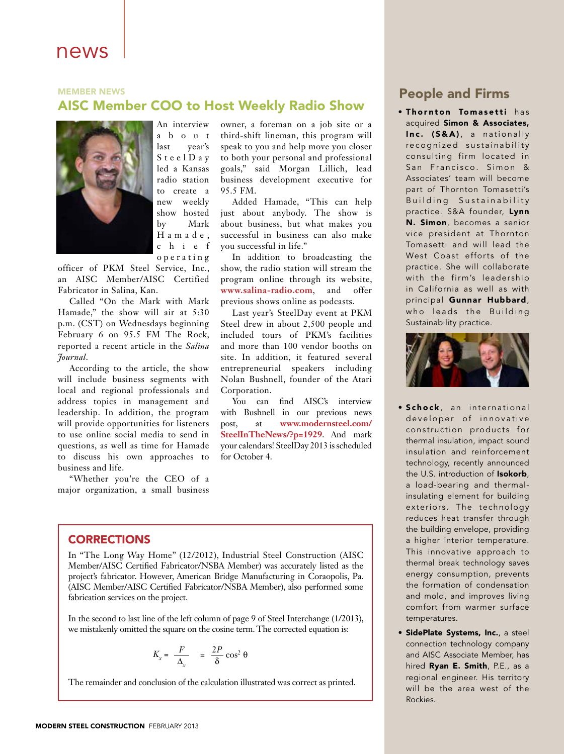# news

# **MEMBER NEWS** AISC Member COO to Host Weekly Radio Show



An interview a b o u t last year's S t e e l D a y led a Kansas radio station to create a new weekly show hosted by Mark H a m a d e , c h i e f o p e r a t i n g

officer of PKM Steel Service, Inc., an AISC Member/AISC Certified Fabricator in Salina, Kan.

Called "On the Mark with Mark Hamade," the show will air at 5:30 p.m. (CST) on Wednesdays beginning February 6 on 95.5 FM The Rock, reported a recent article in the *Salina Journal*.

According to the article, the show will include business segments with local and regional professionals and address topics in management and leadership. In addition, the program will provide opportunities for listeners to use online social media to send in questions, as well as time for Hamade to discuss his own approaches to business and life.

"Whether you're the CEO of a major organization, a small business owner, a foreman on a job site or a third-shift lineman, this program will speak to you and help move you closer to both your personal and professional goals," said Morgan Lillich, lead business development executive for 95.5 FM.

Added Hamade, "This can help just about anybody. The show is about business, but what makes you successful in business can also make you successful in life."

In addition to broadcasting the show, the radio station will stream the program online through its website, **www.salina-radio.com**, and offer previous shows online as podcasts.

Last year's SteelDay event at PKM Steel drew in about 2,500 people and included tours of PKM's facilities and more than 100 vendor booths on site. In addition, it featured several entrepreneurial speakers including Nolan Bushnell, founder of the Atari Corporation.

You can find AISC's interview with Bushnell in our previous news post, at **www.modernsteel.com/ SteelInTheNews/?p=1929**. And mark your calendars! SteelDay 2013 is scheduled for October 4.

# People and Firms

**. Thornton Tomasetti** has acquired Simon & Associates, Inc. (S&A), a nationally recognized sustainability consulting firm located in San Francisco. Simon & Associates' team will become part of Thornton Tomasetti's Building Sustainability practice. S&A founder, Lynn N. Simon, becomes a senior vice president at Thornton Tomasetti and will lead the West Coast efforts of the practice. She will collaborate with the firm's leadership in California as well as with principal Gunnar Hubbard, who leads the Building Sustainability practice.



- Schock, an international developer of innovative construction products for thermal insulation, impact sound insulation and reinforcement technology, recently announced the U.S. introduction of **Isokorb**, a load-bearing and thermalinsulating element for building exteriors. The technology reduces heat transfer through the building envelope, providing a higher interior temperature. This innovative approach to thermal break technology saves energy consumption, prevents the formation of condensation and mold, and improves living comfort from warmer surface temperatures.
- **SidePlate Systems, Inc., a steel** connection technology company and AISC Associate Member, has hired Ryan E. Smith, P.E., as a regional engineer. His territory will be the area west of the Rockies.

## **CORRECTIONS**

In "The Long Way Home" (12/2012), Industrial Steel Construction (AISC Member/AISC Certified Fabricator/NSBA Member) was accurately listed as the project's fabricator. However, American Bridge Manufacturing in Coraopolis, Pa. (AISC Member/AISC Certified Fabricator/NSBA Member), also performed some fabrication services on the project.

In the second to last line of the left column of page 9 of Steel Interchange (1/2013), we mistakenly omitted the square on the cosine term. The corrected equation is:

$$
K_x = \frac{F}{\Delta_x} = \frac{2P}{\delta} \cos^2 \theta
$$

The remainder and conclusion of the calculation illustrated was correct as printed.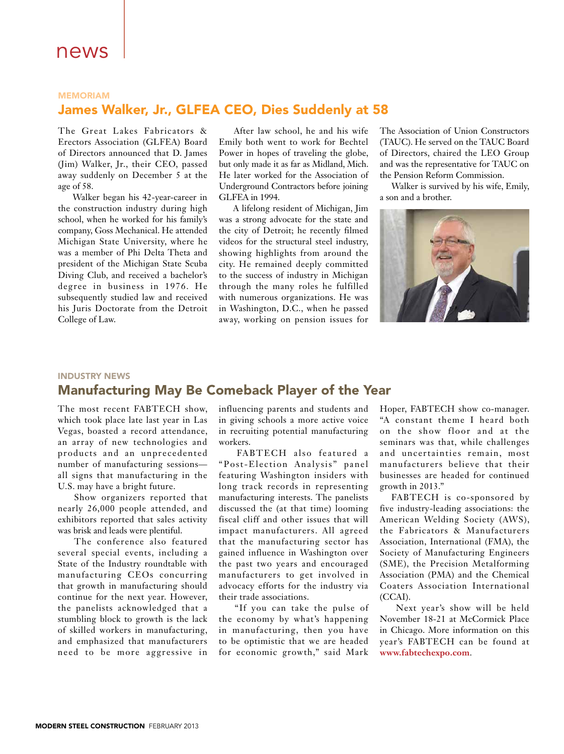### **MEMORIAM**

# James Walker, Jr., GLFEA CEO, Dies Suddenly at 58

The Great Lakes Fabricators & Erectors Association (GLFEA) Board of Directors announced that D. James (Jim) Walker, Jr., their CEO, passed away suddenly on December 5 at the age of 58.

 Walker began his 42-year-career in the construction industry during high school, when he worked for his family's company, Goss Mechanical. He attended Michigan State University, where he was a member of Phi Delta Theta and president of the Michigan State Scuba Diving Club, and received a bachelor's degree in business in 1976. He subsequently studied law and received his Juris Doctorate from the Detroit College of Law.

 After law school, he and his wife Emily both went to work for Bechtel Power in hopes of traveling the globe, but only made it as far as Midland, Mich. He later worked for the Association of Underground Contractors before joining GLFEA in 1994.

 A lifelong resident of Michigan, Jim was a strong advocate for the state and the city of Detroit; he recently filmed videos for the structural steel industry, showing highlights from around the city. He remained deeply committed to the success of industry in Michigan through the many roles he fulfilled with numerous organizations. He was in Washington, D.C., when he passed away, working on pension issues for The Association of Union Constructors (TAUC). He served on the TAUC Board of Directors, chaired the LEO Group and was the representative for TAUC on the Pension Reform Commission.

Walker is survived by his wife, Emily, a son and a brother.



#### INDUSTRY NEWS

# Manufacturing May Be Comeback Player of the Year

The most recent FABTECH show, which took place late last year in Las Vegas, boasted a record attendance, an array of new technologies and products and an unprecedented number of manufacturing sessions all signs that manufacturing in the U.S. may have a bright future.

 Show organizers reported that nearly 26,000 people attended, and exhibitors reported that sales activity was brisk and leads were plentiful.

 The conference also featured several special events, including a State of the Industry roundtable with manufacturing CEOs concurring that growth in manufacturing should continue for the next year. However, the panelists acknowledged that a stumbling block to growth is the lack of skilled workers in manufacturing, and emphasized that manufacturers need to be more aggressive in

influencing parents and students and in giving schools a more active voice in recruiting potential manufacturing workers.

 FABTECH also featured a "Post-Election Analysis" panel featuring Washington insiders with long track records in representing manufacturing interests. The panelists discussed the (at that time) looming fiscal cliff and other issues that will impact manufacturers. All agreed that the manufacturing sector has gained influence in Washington over the past two years and encouraged manufacturers to get involved in advocacy efforts for the industry via their trade associations.

 "If you can take the pulse of the economy by what's happening in manufacturing, then you have to be optimistic that we are headed for economic growth," said Mark

Hoper, FABTECH show co-manager. "A constant theme I heard both on the show floor and at the seminars was that, while challenges and uncertainties remain, most manufacturers believe that their businesses are headed for continued growth in 2013."

FABTECH is co-sponsored by five industry-leading associations: the American Welding Society (AWS), the Fabricators & Manufacturers Association, International (FMA), the Society of Manufacturing Engineers (SME), the Precision Metalforming Association (PMA) and the Chemical Coaters Association International (CCAI).

 Next year's show will be held November 18-21 at McCormick Place in Chicago. More information on this year's FABTECH can be found at **www.fabtechexpo.com**.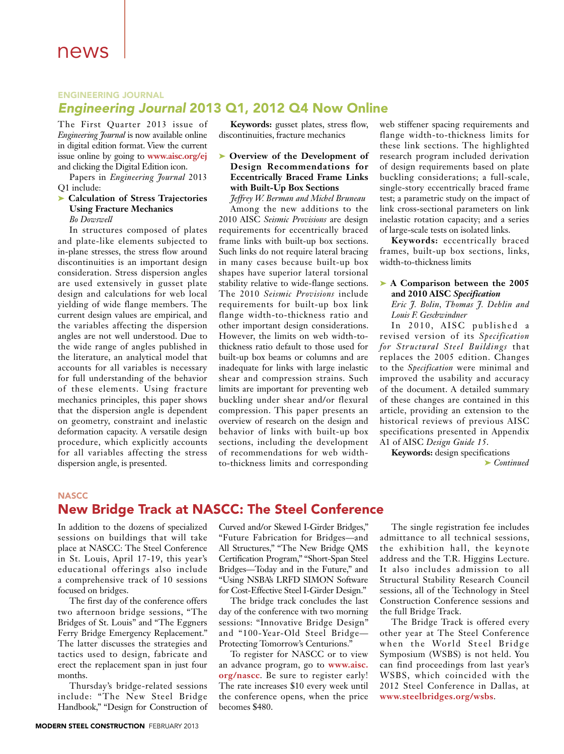## ENGINEERING JOURNAL *Engineering Journal* 2013 Q1, 2012 Q4 Now Online

The First Quarter 2013 issue of *Engineering Journal* is now available online in digital edition format. View the current issue online by going to **www.aisc.org/ej** and clicking the Digital Edition icon.

Papers in *Engineering Journal* 2013 Q1 include:

#### ➤ **Calculation of Stress Trajectories Using Fracture Mechanics**  *Bo Dowswell*

In structures composed of plates and plate-like elements subjected to in-plane stresses, the stress flow around discontinuities is an important design consideration. Stress dispersion angles are used extensively in gusset plate design and calculations for web local yielding of wide flange members. The current design values are empirical, and the variables affecting the dispersion angles are not well understood. Due to the wide range of angles published in the literature, an analytical model that accounts for all variables is necessary for full understanding of the behavior of these elements. Using fracture mechanics principles, this paper shows that the dispersion angle is dependent on geometry, constraint and inelastic deformation capacity. A versatile design procedure, which explicitly accounts for all variables affecting the stress dispersion angle, is presented.

**Keywords:** gusset plates, stress flow, discontinuities, fracture mechanics

➤ **Overview of the Development of Design Recommendations for Eccentrically Braced Frame Links with Built-Up Box Sections**  *Jeffrey W. Berman and Michel Bruneau*

Among the new additions to the 2010 AISC *Seismic Provisions* are design requirements for eccentrically braced frame links with built-up box sections. Such links do not require lateral bracing in many cases because built-up box shapes have superior lateral torsional stability relative to wide-flange sections. The 2010 *Seismic Provisions* include requirements for built-up box link flange width-to-thickness ratio and other important design considerations. However, the limits on web width-tothickness ratio default to those used for built-up box beams or columns and are inadequate for links with large inelastic shear and compression strains. Such limits are important for preventing web buckling under shear and/or flexural compression. This paper presents an overview of research on the design and behavior of links with built-up box sections, including the development of recommendations for web widthto-thickness limits and corresponding web stiffener spacing requirements and flange width-to-thickness limits for these link sections. The highlighted research program included derivation of design requirements based on plate buckling considerations; a full-scale, single-story eccentrically braced frame test; a parametric study on the impact of link cross-sectional parameters on link inelastic rotation capacity; and a series of large-scale tests on isolated links.

**Keywords:** eccentrically braced frames, built-up box sections, links, width-to-thickness limits

## ➤ **A Comparison between the 2005 and 2010 AISC** *Specification*

*Eric J. Bolin, Thomas J. Dehlin and Louis F. Geschwindner*

In 2010, AISC published a revised version of its *Specification for Structural Steel Buildings* that replaces the 2005 edition. Changes to the *Specification* were minimal and improved the usability and accuracy of the document. A detailed summary of these changes are contained in this article, providing an extension to the historical reviews of previous AISC specifications presented in Appendix A1 of AISC *Design Guide 15*.

**Keywords:** design specifications ➤ *Continued* 

## **NASCC**

# New Bridge Track at NASCC: The Steel Conference

In addition to the dozens of specialized sessions on buildings that will take place at NASCC: The Steel Conference in St. Louis, April 17-19, this year's educational offerings also include a comprehensive track of 10 sessions focused on bridges.

The first day of the conference offers two afternoon bridge sessions, "The Bridges of St. Louis" and "The Eggners Ferry Bridge Emergency Replacement." The latter discusses the strategies and tactics used to design, fabricate and erect the replacement span in just four months.

Thursday's bridge-related sessions include: "The New Steel Bridge Handbook," "Design for Construction of

Curved and/or Skewed I-Girder Bridges," "Future Fabrication for Bridges—and All Structures," "The New Bridge QMS Certification Program," "Short-Span Steel Bridges—Today and in the Future," and "Using NSBA's LRFD SIMON Software for Cost-Effective Steel I-Girder Design."

The bridge track concludes the last day of the conference with two morning sessions: "Innovative Bridge Design" and "100-Year-Old Steel Bridge— Protecting Tomorrow's Centurions."

To register for NASCC or to view an advance program, go to **www.aisc. org/nascc**. Be sure to register early! The rate increases \$10 every week until the conference opens, when the price becomes \$480.

The single registration fee includes admittance to all technical sessions, the exhibition hall, the keynote address and the T.R. Higgins Lecture. It also includes admission to all Structural Stability Research Council sessions, all of the Technology in Steel Construction Conference sessions and the full Bridge Track.

The Bridge Track is offered every other year at The Steel Conference when the World Steel Bridge Symposium (WSBS) is not held. You can find proceedings from last year's WSBS, which coincided with the 2012 Steel Conference in Dallas, at **www.steelbridges.org/wsbs**.